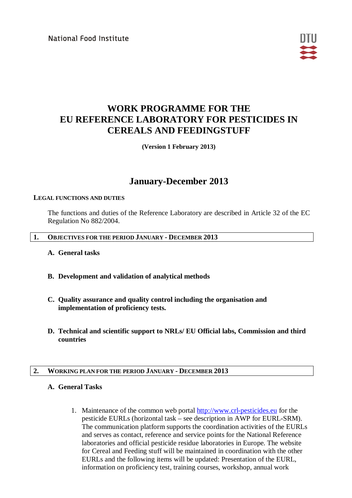National Food Institute



# **WORK PROGRAMME FOR THE EU REFERENCE LABORATORY FOR PESTICIDES IN CEREALS AND FEEDINGSTUFF**

**(Version 1 February 2013)**

## **January-December 2013**

#### **LEGAL FUNCTIONS AND DUTIES**

The functions and duties of the Reference Laboratory are described in Article 32 of the EC Regulation No 882/2004.

#### **1. OBJECTIVES FOR THE PERIOD JANUARY - DECEMBER 2013**

- **A. General tasks**
- **B. Development and validation of analytical methods**
- **C. Quality assurance and quality control including the organisation and implementation of proficiency tests.**
- **D. Technical and scientific support to NRLs/ EU Official labs, Commission and third countries**

#### **2. WORKING PLAN FOR THE PERIOD JANUARY - DECEMBER 2013**

#### **A. General Tasks**

1. Maintenance of the common web portal [http://www.crl-pesticides.eu](http://www.crl-pesticides.eu/) for the pesticide EURLs (horizontal task – see description in AWP for EURL-SRM). The communication platform supports the coordination activities of the EURLs and serves as contact, reference and service points for the National Reference laboratories and official pesticide residue laboratories in Europe. The website for Cereal and Feeding stuff will be maintained in coordination with the other EURLs and the following items will be updated: Presentation of the EURL, information on proficiency test, training courses, workshop, annual work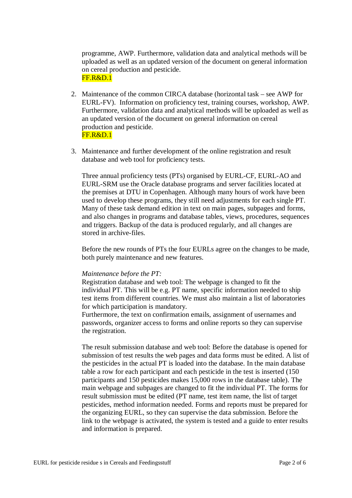programme, AWP. Furthermore, validation data and analytical methods will be uploaded as well as an updated version of the document on general information on cereal production and pesticide. FF.R&D.1

- 2. Maintenance of the common CIRCA database (horizontal task see AWP for EURL-FV). Information on proficiency test, training courses, workshop, AWP. Furthermore, validation data and analytical methods will be uploaded as well as an updated version of the document on general information on cereal production and pesticide. FF.R&D.1
- 3. Maintenance and further development of the online registration and result database and web tool for proficiency tests.

Three annual proficiency tests (PTs) organised by EURL-CF, EURL-AO and EURL-SRM use the Oracle database programs and server facilities located at the premises at DTU in Copenhagen. Although many hours of work have been used to develop these programs, they still need adjustments for each single PT. Many of these task demand edition in text on main pages, subpages and forms, and also changes in programs and database tables, views, procedures, sequences and triggers. Backup of the data is produced regularly, and all changes are stored in archive-files.

Before the new rounds of PTs the four EURLs agree on the changes to be made, both purely maintenance and new features.

#### *Maintenance before the PT:*

Registration database and web tool: The webpage is changed to fit the individual PT. This will be e.g. PT name, specific information needed to ship test items from different countries. We must also maintain a list of laboratories for which participation is mandatory.

Furthermore, the text on confirmation emails, assignment of usernames and passwords, organizer access to forms and online reports so they can supervise the registration.

The result submission database and web tool: Before the database is opened for submission of test results the web pages and data forms must be edited. A list of the pesticides in the actual PT is loaded into the database. In the main database table a row for each participant and each pesticide in the test is inserted (150 participants and 150 pesticides makes 15,000 rows in the database table). The main webpage and subpages are changed to fit the individual PT. The forms for result submission must be edited (PT name, test item name, the list of target pesticides, method information needed. Forms and reports must be prepared for the organizing EURL, so they can supervise the data submission. Before the link to the webpage is activated, the system is tested and a guide to enter results and information is prepared.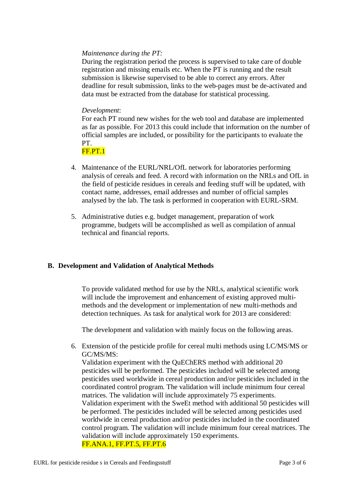### *Maintenance during the PT:*

During the registration period the process is supervised to take care of double registration and missing emails etc. When the PT is running and the result submission is likewise supervised to be able to correct any errors. After deadline for result submission, links to the web-pages must be de-activated and data must be extracted from the database for statistical processing.

### *Development*:

For each PT round new wishes for the web tool and database are implemented as far as possible. For 2013 this could include that information on the number of official samples are included, or possibility for the participants to evaluate the PT.

FF.PT.1

- 4. Maintenance of the EURL/NRL/OfL network for laboratories performing analysis of cereals and feed. A record with information on the NRLs and OfL in the field of pesticide residues in cereals and feeding stuff will be updated, with contact name, addresses, email addresses and number of official samples analysed by the lab. The task is performed in cooperation with EURL-SRM.
- 5. Administrative duties e.g. budget management, preparation of work programme, budgets will be accomplished as well as compilation of annual technical and financial reports.

#### **B. Development and Validation of Analytical Methods**

To provide validated method for use by the NRLs, analytical scientific work will include the improvement and enhancement of existing approved multimethods and the development or implementation of new multi-methods and detection techniques. As task for analytical work for 2013 are considered:

The development and validation with mainly focus on the following areas.

6. Extension of the pesticide profile for cereal multi methods using LC/MS/MS or GC/MS/MS:

Validation experiment with the QuEChERS method with additional 20 pesticides will be performed. The pesticides included will be selected among pesticides used worldwide in cereal production and/or pesticides included in the coordinated control program. The validation will include minimum four cereal matrices. The validation will include approximately 75 experiments. Validation experiment with the SweEt method with additional 50 pesticides will be performed. The pesticides included will be selected among pesticides used worldwide in cereal production and/or pesticides included in the coordinated control program. The validation will include minimum four cereal matrices. The validation will include approximately 150 experiments. FF.ANA.1, FF.PT.5, FF.PT.6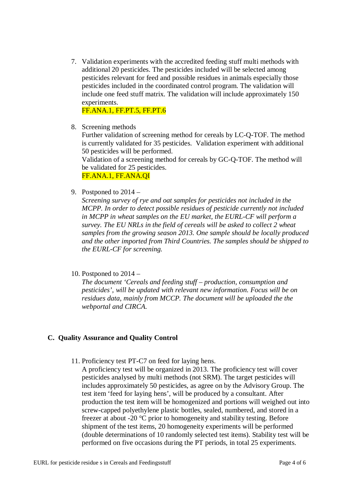7. Validation experiments with the accredited feeding stuff multi methods with additional 20 pesticides. The pesticides included will be selected among pesticides relevant for feed and possible residues in animals especially those pesticides included in the coordinated control program. The validation will include one feed stuff matrix. The validation will include approximately 150 experiments.

FF.ANA.1, FF.PT.5, FF.PT.6

8. Screening methods

Further validation of screening method for cereals by LC-Q-TOF. The method is currently validated for 35 pesticides. Validation experiment with additional 50 pesticides will be performed.

Validation of a screening method for cereals by GC-Q-TOF. The method will be validated for 25 pesticides.

FF.ANA.1, FF.ANA.QI

9. Postponed to 2014 –

*Screening survey of rye and oat samples for pesticides not included in the MCPP. In order to detect possible residues of pesticide currently not included in MCPP in wheat samples on the EU market, the EURL-CF will perform a survey. The EU NRLs in the field of cereals will be asked to collect 2 wheat samples from the growing season 2013. One sample should be locally produced and the other imported from Third Countries. The samples should be shipped to the EURL-CF for screening.*

10. Postponed to 2014 –

*The document 'Cereals and feeding stuff – production, consumption and pesticides', will be updated with relevant new information. Focus will be on residues data, mainly from MCCP. The document will be uploaded the the webportal and CIRCA.*

#### **C. Quality Assurance and Quality Control**

- 11. Proficiency test PT-C7 on feed for laying hens.
	- A proficiency test will be organized in 2013. The proficiency test will cover pesticides analysed by multi methods (not SRM). The target pesticides will includes approximately 50 pesticides, as agree on by the Advisory Group. The test item 'feed for laying hens', will be produced by a consultant. After production the test item will be homogenized and portions will weighed out into screw-capped polyethylene plastic bottles, sealed, numbered, and stored in a freezer at about -20 °C prior to homogeneity and stability testing. Before shipment of the test items, 20 homogeneity experiments will be performed (double determinations of 10 randomly selected test items). Stability test will be performed on five occasions during the PT periods, in total 25 experiments.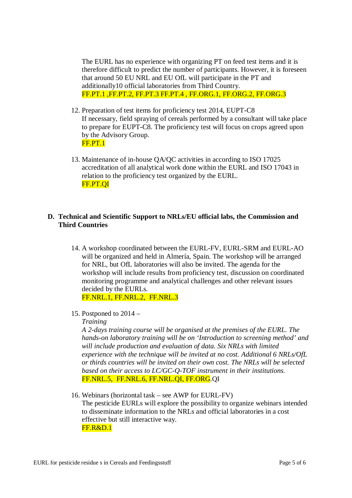The EURL has no experience with organizing PT on feed test items and it is therefore difficult to predict the number of participants. However, it is foreseen that around 50 EU NRL and EU OfL will participate in the PT and additionally10 official laboratories from Third Country. FF.PT.1 ,FF.PT.2, FF.PT.3 FF.PT.4 , FF.ORG.1, FF.ORG.2, FF.ORG.3

- 12. Preparation of test items for proficiency test 2014, EUPT-C8 If necessary, field spraying of cereals performed by a consultant will take place to prepare for EUPT-C8. The proficiency test will focus on crops agreed upon by the Advisory Group. FF.PT.1
- 13. Maintenance of in-house QA/QC activities in according to ISO 17025 accreditation of all analytical work done within the EURL and ISO 17043 in relation to the proficiency test organized by the EURL. FF.PT.QI

## **D. Technical and Scientific Support to NRLs/EU official labs, the Commission and Third Countries**

- 14. A workshop coordinated between the EURL-FV, EURL-SRM and EURL-AO will be organized and held in Almería, Spain. The workshop will be arranged for NRL, but OfL laboratories will also be invited. The agenda for the workshop will include results from proficiency test, discussion on coordinated monitoring programme and analytical challenges and other relevant issues decided by the EURLs. FF.NRL.1, FF.NRL.2, FF.NRL.3
- 15. Postponed to 2014 –

## *Training*

*A 2-days training course will be organised at the premises of the EURL. The hands-on laboratory training will be on 'Introduction to screening method' and will include production and evaluation of data. Six NRLs with limited experience with the technique will be invited at no cost. Additional 6 NRLs/OfL or thirds countries will be invited on their own cost. The NRLs will be selected based on their access to LC/GC-Q-TOF instrument in their institutions.* FF.NRL.5, FF.NRL.6, FF.NRL.QI, FF.ORG.QI

16. Webinars (horizontal task – see AWP for EURL-FV)

The pesticide EURLs will explore the possibility to organize webinars intended to disseminate information to the NRLs and official laboratories in a cost effective but still interactive way. FF.R&D.1